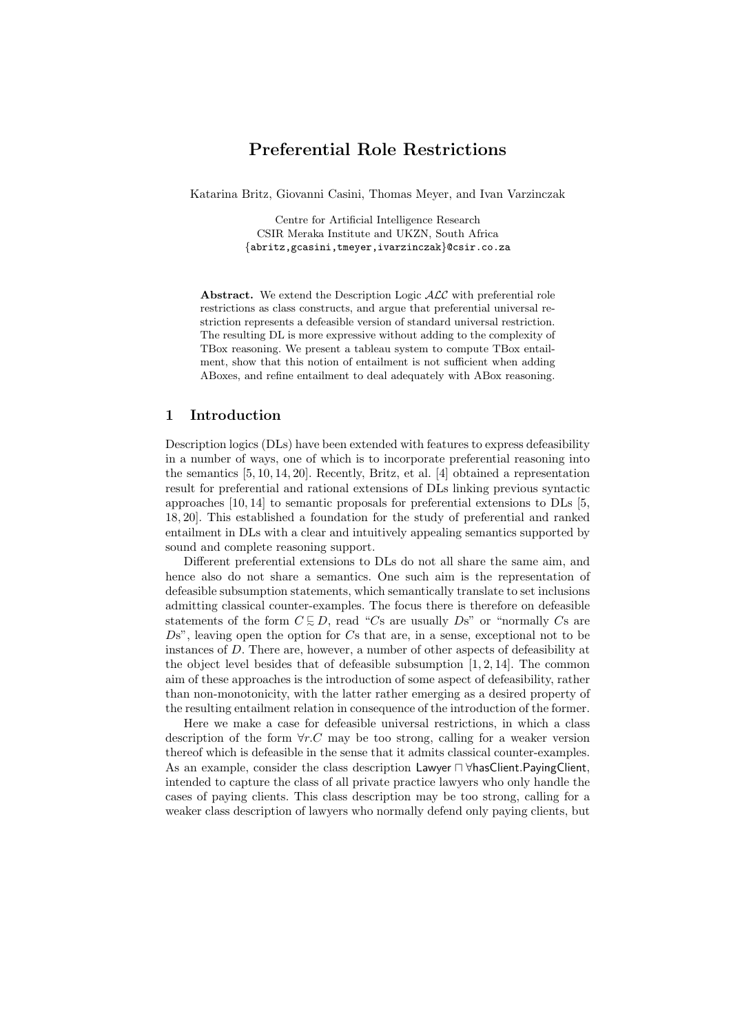# Preferential Role Restrictions

Katarina Britz, Giovanni Casini, Thomas Meyer, and Ivan Varzinczak

Centre for Artificial Intelligence Research CSIR Meraka Institute and UKZN, South Africa {abritz,gcasini,tmeyer,ivarzinczak}@csir.co.za

**Abstract.** We extend the Description Logic  $ALC$  with preferential role restrictions as class constructs, and argue that preferential universal restriction represents a defeasible version of standard universal restriction. The resulting DL is more expressive without adding to the complexity of TBox reasoning. We present a tableau system to compute TBox entailment, show that this notion of entailment is not sufficient when adding ABoxes, and refine entailment to deal adequately with ABox reasoning.

# 1 Introduction

Description logics (DLs) have been extended with features to express defeasibility in a number of ways, one of which is to incorporate preferential reasoning into the semantics [5, 10, 14, 20]. Recently, Britz, et al. [4] obtained a representation result for preferential and rational extensions of DLs linking previous syntactic approaches [10, 14] to semantic proposals for preferential extensions to DLs [5, 18, 20]. This established a foundation for the study of preferential and ranked entailment in DLs with a clear and intuitively appealing semantics supported by sound and complete reasoning support.

Different preferential extensions to DLs do not all share the same aim, and hence also do not share a semantics. One such aim is the representation of defeasible subsumption statements, which semantically translate to set inclusions admitting classical counter-examples. The focus there is therefore on defeasible statements of the form  $C \subseteq D$ , read "Cs are usually  $Ds$ " or "normally Cs are  $Ds^{\gamma}$ , leaving open the option for  $Cs$  that are, in a sense, exceptional not to be instances of D. There are, however, a number of other aspects of defeasibility at the object level besides that of defeasible subsumption  $[1, 2, 14]$ . The common aim of these approaches is the introduction of some aspect of defeasibility, rather than non-monotonicity, with the latter rather emerging as a desired property of the resulting entailment relation in consequence of the introduction of the former.

Here we make a case for defeasible universal restrictions, in which a class description of the form  $\forall r.C$  may be too strong, calling for a weaker version thereof which is defeasible in the sense that it admits classical counter-examples. As an example, consider the class description Lawyer  $\Box$   $\forall$ hasClient.PayingClient, intended to capture the class of all private practice lawyers who only handle the cases of paying clients. This class description may be too strong, calling for a weaker class description of lawyers who normally defend only paying clients, but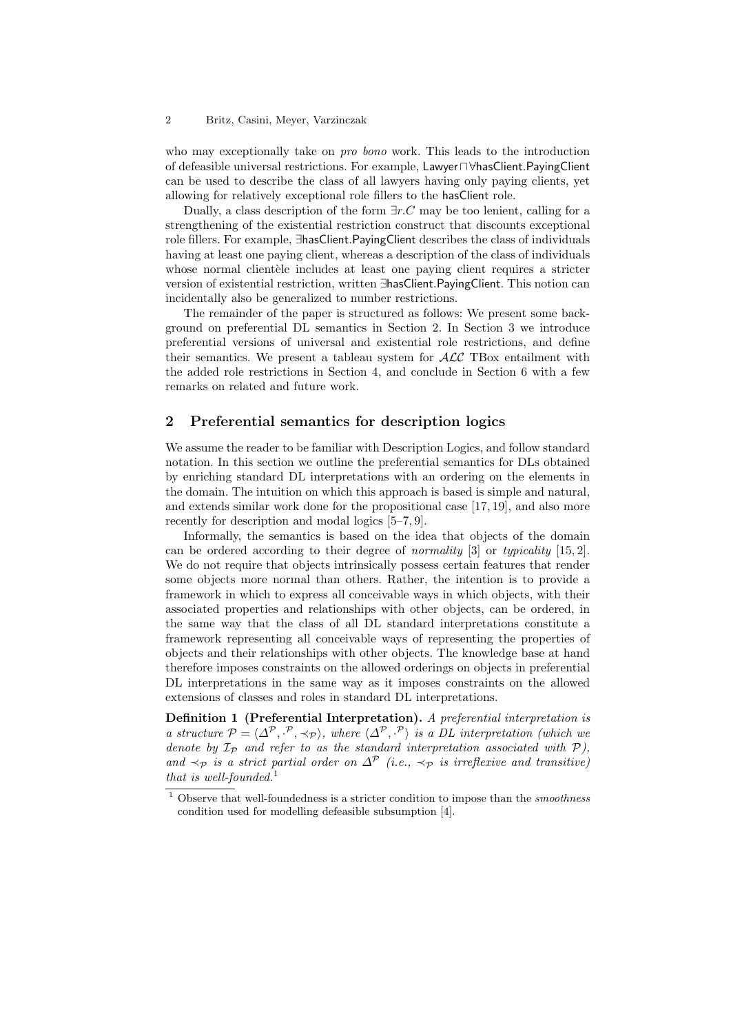who may exceptionally take on *pro bono* work. This leads to the introduction of defeasible universal restrictions. For example, Lawyer ∩∀hasClient.PayingClient can be used to describe the class of all lawyers having only paying clients, yet allowing for relatively exceptional role fillers to the hasClient role.

Dually, a class description of the form  $\exists r.C$  may be too lenient, calling for a strengthening of the existential restriction construct that discounts exceptional role fillers. For example, ∃hasClient.PayingClient describes the class of individuals having at least one paying client, whereas a description of the class of individuals whose normal client dele includes at least one paying client requires a stricter version of existential restriction, written ∃hasClient.PayingClient. This notion can incidentally also be generalized to number restrictions.

The remainder of the paper is structured as follows: We present some background on preferential DL semantics in Section 2. In Section 3 we introduce preferential versions of universal and existential role restrictions, and define their semantics. We present a tableau system for  $\cal{ALC}$  TBox entailment with the added role restrictions in Section 4, and conclude in Section 6 with a few remarks on related and future work.

# 2 Preferential semantics for description logics

We assume the reader to be familiar with Description Logics, and follow standard notation. In this section we outline the preferential semantics for DLs obtained by enriching standard DL interpretations with an ordering on the elements in the domain. The intuition on which this approach is based is simple and natural, and extends similar work done for the propositional case [17, 19], and also more recently for description and modal logics [5–7, 9].

Informally, the semantics is based on the idea that objects of the domain can be ordered according to their degree of normality [3] or typicality [15, 2]. We do not require that objects intrinsically possess certain features that render some objects more normal than others. Rather, the intention is to provide a framework in which to express all conceivable ways in which objects, with their associated properties and relationships with other objects, can be ordered, in the same way that the class of all DL standard interpretations constitute a framework representing all conceivable ways of representing the properties of objects and their relationships with other objects. The knowledge base at hand therefore imposes constraints on the allowed orderings on objects in preferential DL interpretations in the same way as it imposes constraints on the allowed extensions of classes and roles in standard DL interpretations.

Definition 1 (Preferential Interpretation). A preferential interpretation is a structure  $\mathcal{P} = \langle \Delta^{\mathcal{P}}, \cdot^{\mathcal{P}}, \prec_{\mathcal{P}} \rangle$ , where  $\langle \Delta^{\mathcal{P}}, \cdot^{\mathcal{P}} \rangle$  is a DL interpretation (which we denote by  $\mathcal{I}_{\mathcal{P}}$  and refer to as the standard interpretation associated with  $\mathcal{P}$ ). and  $\prec_{\mathcal{P}}$  is a strict partial order on  $\Delta^{\mathcal{P}}$  (i.e.,  $\prec_{\mathcal{P}}$  is irreflexive and transitive) that is well-founded.<sup>1</sup>

 $^{\rm 1}$  Observe that well-foundedness is a stricter condition to impose than the smoothness condition used for modelling defeasible subsumption [4].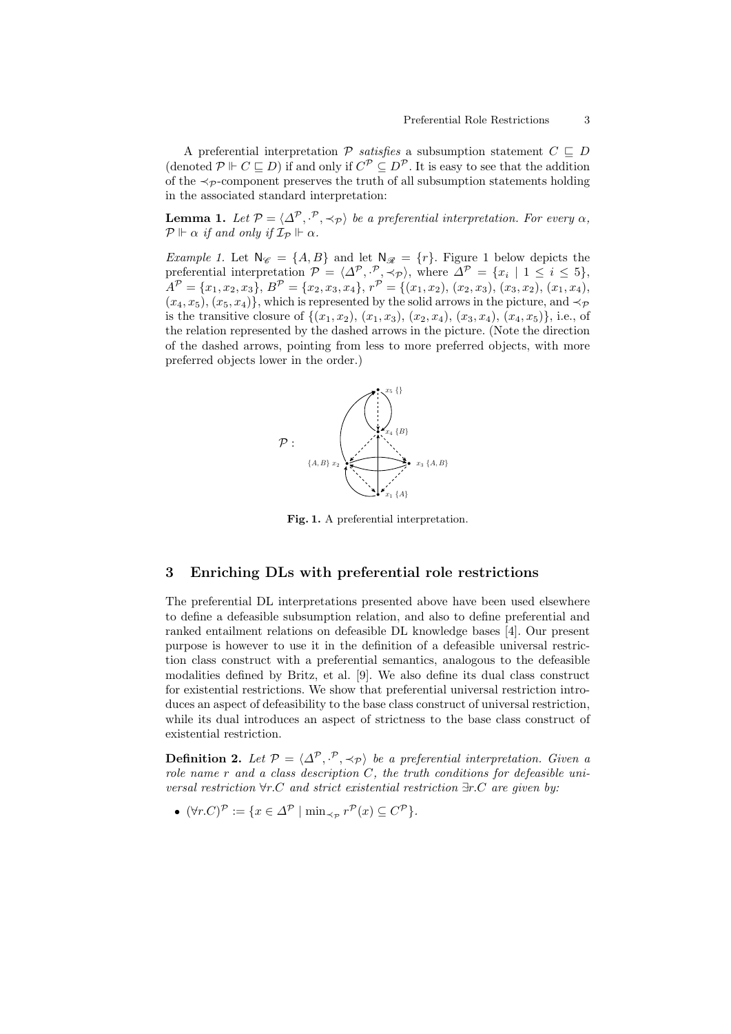A preferential interpretation  $P$  satisfies a subsumption statement  $C \subseteq D$ (denoted  $\mathcal{P} \Vdash C \sqsubseteq D$ ) if and only if  $C^{\mathcal{P}} \subseteq D^{\mathcal{P}}$ . It is easy to see that the addition of the  $\prec_{\mathcal{P}}$ -component preserves the truth of all subsumption statements holding in the associated standard interpretation:

**Lemma 1.** Let  $P = \langle \Delta^P, \cdot^P, \prec_P \rangle$  be a preferential interpretation. For every  $\alpha$ ,  $\mathcal{P} \Vdash \alpha$  if and only if  $\mathcal{I}_{\mathcal{P}} \Vdash \alpha$ .

*Example 1.* Let  $N_{\mathscr{C}} = \{A, B\}$  and let  $N_{\mathscr{R}} = \{r\}$ . Figure 1 below depicts the preferential interpretation  $\mathcal{P} = \langle \Delta^{\mathcal{P}}, \cdot^{\mathcal{P}}, \prec_{\mathcal{P}} \rangle$ , where  $\Delta^{\mathcal{P}} = \{x_i \mid 1 \leq i \leq 5\}$ ,  $A^{\mathcal{P}} = \{x_1, x_2, x_3\}, B^{\mathcal{P}} = \{x_2, x_3, x_4\}, r^{\mathcal{P}} = \{(x_1, x_2), (x_2, x_3), (x_3, x_2), (x_1, x_4),$  $(x_4, x_5), (x_5, x_4)$ , which is represented by the solid arrows in the picture, and  $\prec_{\mathcal{P}}$ is the transitive closure of  $\{(x_1, x_2), (x_1, x_3), (x_2, x_4), (x_3, x_4), (x_4, x_5)\}\)$ , i.e., of the relation represented by the dashed arrows in the picture. (Note the direction of the dashed arrows, pointing from less to more preferred objects, with more preferred objects lower in the order.)



Fig. 1. A preferential interpretation.

## 3 Enriching DLs with preferential role restrictions

The preferential DL interpretations presented above have been used elsewhere to define a defeasible subsumption relation, and also to define preferential and ranked entailment relations on defeasible DL knowledge bases [4]. Our present purpose is however to use it in the definition of a defeasible universal restriction class construct with a preferential semantics, analogous to the defeasible modalities defined by Britz, et al. [9]. We also define its dual class construct for existential restrictions. We show that preferential universal restriction introduces an aspect of defeasibility to the base class construct of universal restriction, while its dual introduces an aspect of strictness to the base class construct of existential restriction.

**Definition 2.** Let  $\mathcal{P} = \langle \Delta^{\mathcal{P}}, \cdot^{\mathcal{P}}, \prec_{\mathcal{P}} \rangle$  be a preferential interpretation. Given a role name  $r$  and a class description  $C$ , the truth conditions for defeasible universal restriction ∀r.C and strict existential restriction ∃r.C are given by:

•  $(\forall r.C)^{\mathcal{P}} \coloneqq \{x \in \Delta^{\mathcal{P}} \mid \min_{\prec_{\mathcal{P}}} r^{\mathcal{P}}(x) \subseteq C^{\mathcal{P}}\}.$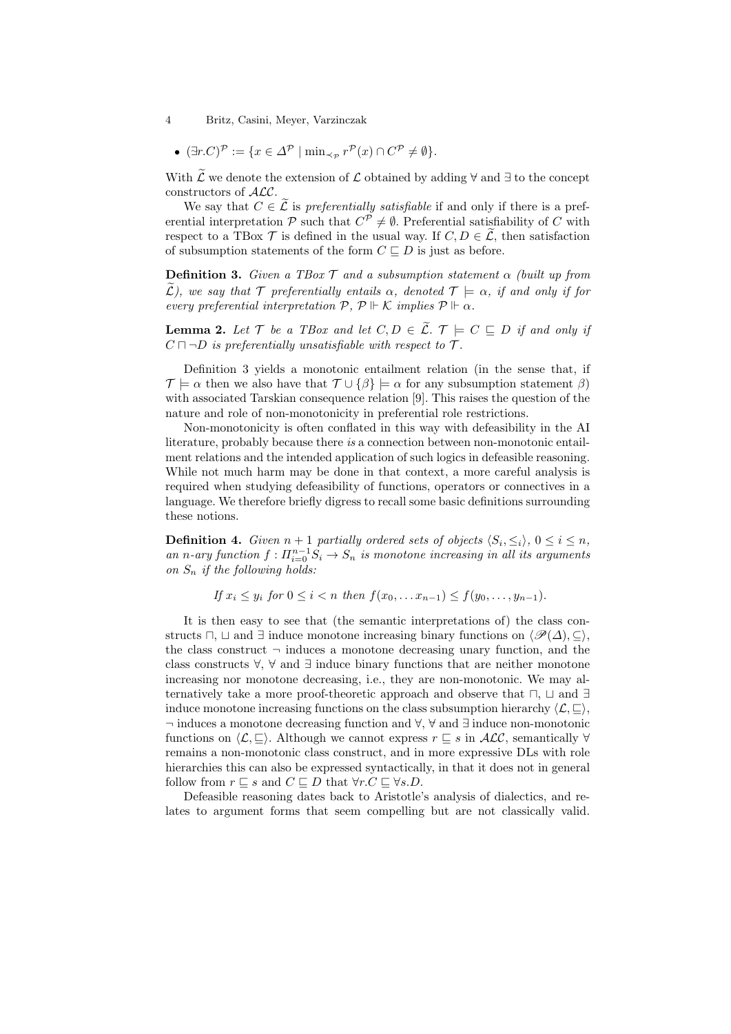• 
$$
(\exists r.C)^{\mathcal{P}} := \{x \in \Delta^{\mathcal{P}} \mid \min_{\prec_{\mathcal{P}}} r^{\mathcal{P}}(x) \cap C^{\mathcal{P}} \neq \emptyset\}.
$$

With  $\widetilde{\mathcal{L}}$  we denote the extension of  $\mathcal{L}$  obtained by adding  $\forall$  and  $\exists$  to the concept constructors of ALC.

We say that  $C \in \tilde{\mathcal{L}}$  is preferentially satisfiable if and only if there is a preferential interpretation  $P$  such that  $C^P \neq \emptyset$ . Preferential satisfiability of C with respect to a TBox  $\mathcal T$  is defined in the usual way. If  $C, D \in \widetilde{\mathcal L}$ , then satisfaction of subsumption statements of the form  $C \sqsubseteq D$  is just as before.

**Definition 3.** Given a TBox  $\mathcal{T}$  and a subsumption statement  $\alpha$  (built up from  $\mathcal{L}$ ), we say that  $\mathcal{T}$  preferentially entails  $\alpha$ , denoted  $\mathcal{T} \models \alpha$ , if and only if for every preferential interpretation  $P$ ,  $P \Vdash \mathcal{K}$  implies  $P \Vdash \alpha$ .

**Lemma 2.** Let  $\mathcal{T}$  be a TBox and let  $C, D \in \widetilde{\mathcal{L}}$ .  $\mathcal{T} \models C \sqsubseteq D$  if and only if  $C \sqcap \neg D$  is preferentially unsatisfiable with respect to  $\mathcal{T}$ .

Definition 3 yields a monotonic entailment relation (in the sense that, if  $\mathcal{T} \models \alpha$  then we also have that  $\mathcal{T} \cup {\{\beta\}} \models \alpha$  for any subsumption statement  $\beta$ ) with associated Tarskian consequence relation [9]. This raises the question of the nature and role of non-monotonicity in preferential role restrictions.

Non-monotonicity is often conflated in this way with defeasibility in the AI literature, probably because there is a connection between non-monotonic entailment relations and the intended application of such logics in defeasible reasoning. While not much harm may be done in that context, a more careful analysis is required when studying defeasibility of functions, operators or connectives in a language. We therefore briefly digress to recall some basic definitions surrounding these notions.

**Definition 4.** Given  $n + 1$  partially ordered sets of objects  $\langle S_i, \leq_i \rangle$ ,  $0 \leq i \leq n$ , an n-ary function  $f: \prod_{i=0}^{n-1} S_i \to S_n$  is monotone increasing in all its arguments on  $S_n$  if the following holds:

If  $x_i \leq y_i$  for  $0 \leq i < n$  then  $f(x_0, \ldots, x_{n-1}) \leq f(y_0, \ldots, y_{n-1})$ .

It is then easy to see that (the semantic interpretations of) the class constructs  $\sqcap$ ,  $\sqcup$  and  $\exists$  induce monotone increasing binary functions on  $\langle \mathscr{P}(\Delta), \subseteq \rangle$ , the class construct  $\neg$  induces a monotone decreasing unary function, and the class constructs  $\forall$ ,  $\forall$  and  $\exists$  induce binary functions that are neither monotone increasing nor monotone decreasing, i.e., they are non-monotonic. We may alternatively take a more proof-theoretic approach and observe that  $\Box$ ,  $\Box$  and  $\exists$ induce monotone increasing functions on the class subsumption hierarchy  $\langle \mathcal{L}, \square \rangle$ , ¬ induces a monotone decreasing function and ∀, ∀∼• and •∃∼ induce non-monotonic functions on  $\langle \mathcal{L}, \subseteq \rangle$ . Although we cannot express  $r \subseteq s$  in  $\mathcal{ALC}$ , semantically  $\forall$ remains a non-monotonic class construct, and in more expressive DLs with role hierarchies this can also be expressed syntactically, in that it does not in general follow from  $r \sqsubseteq s$  and  $C \sqsubseteq D$  that  $\forall r.C \sqsubseteq \forall s.D$ .

Defeasible reasoning dates back to Aristotle's analysis of dialectics, and relates to argument forms that seem compelling but are not classically valid.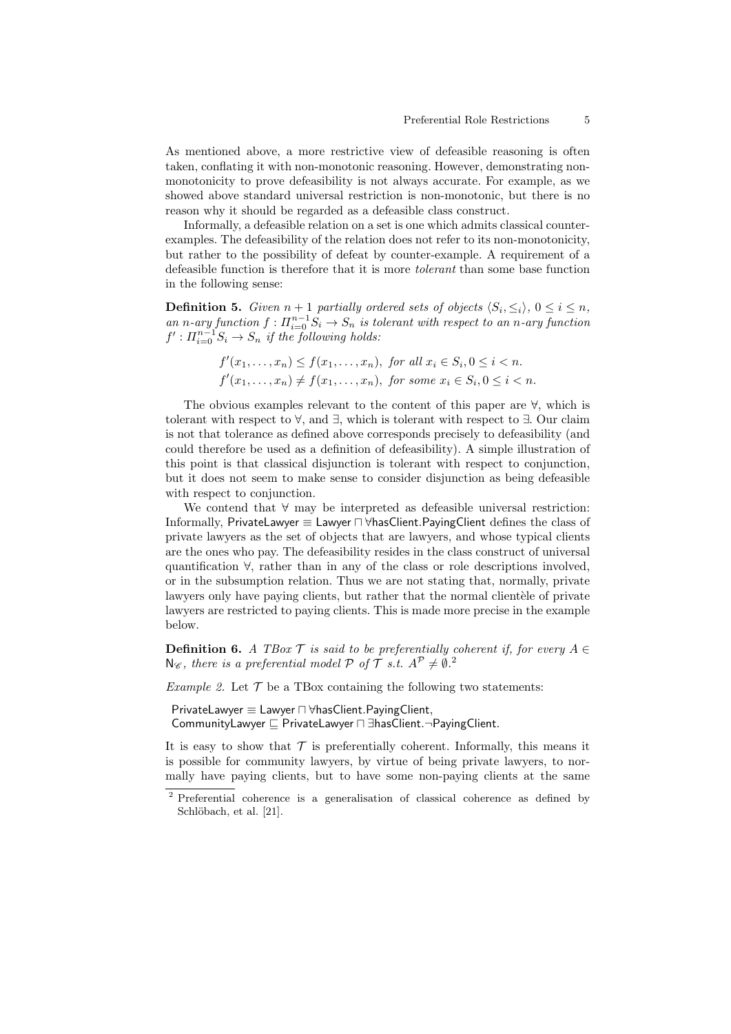As mentioned above, a more restrictive view of defeasible reasoning is often taken, conflating it with non-monotonic reasoning. However, demonstrating nonmonotonicity to prove defeasibility is not always accurate. For example, as we showed above standard universal restriction is non-monotonic, but there is no reason why it should be regarded as a defeasible class construct.

Informally, a defeasible relation on a set is one which admits classical counterexamples. The defeasibility of the relation does not refer to its non-monotonicity, but rather to the possibility of defeat by counter-example. A requirement of a defeasible function is therefore that it is more tolerant than some base function in the following sense:

**Definition 5.** Given  $n + 1$  partially ordered sets of objects  $\langle S_i, \leq_i \rangle$ ,  $0 \leq i \leq n$ , an n-ary function  $f: \prod_{i=0}^{n-1} S_i \to S_n$  is tolerant with respect to an n-ary function  $f': \Pi_{i=0}^{n-1} S_i \to S_n$  if the following holds:

$$
f'(x_1, \ldots, x_n) \le f(x_1, \ldots, x_n), \text{ for all } x_i \in S_i, 0 \le i < n.
$$
\n
$$
f'(x_1, \ldots, x_n) \ne f(x_1, \ldots, x_n), \text{ for some } x_i \in S_i, 0 \le i < n.
$$

The obvious examples relevant to the content of this paper are ∀∠ which is tolerant with respect to  $\forall$ , and  $\exists$ , which is tolerant with respect to  $\exists$ . Our claim is not that tolerance as defined above corresponds precisely to defeasibility (and could therefore be used as a definition of defeasibility). A simple illustration of this point is that classical disjunction is tolerant with respect to conjunction, but it does not seem to make sense to consider disjunction as being defeasible with respect to conjunction.

We contend that ∀∼• may be interpreted as defeasible universal restriction: Informally, PrivateLawyer ≡ Lawyer ⊓ ∀hasClient.PayingClient defines the class of private lawyers as the set of objects that are lawyers, and whose typical clients are the ones who pay. The defeasibility resides in the class construct of universal quantification ∀∼• , rather than in any of the class or role descriptions involved, or in the subsumption relation. Thus we are not stating that, normally, private lawyers only have paying clients, but rather that the normal clientiele of private lawyers are restricted to paying clients. This is made more precise in the example below.

**Definition 6.** A TBox  $\mathcal{T}$  is said to be preferentially coherent if, for every  $A \in$  $N_{\mathscr{C}}$ , there is a preferential model  $P$  of  $T$  s.t.  $A^P \neq \emptyset$ .

*Example 2.* Let  $\mathcal T$  be a TBox containing the following two statements:

```
PrivateLawyer ≡ Lawyer \Box ∀hasClient.PayingClient,
CommunityLawyer \Box PrivateLawyer \Box ∃hasClient.¬PayingClient.
```
It is easy to show that  $\mathcal T$  is preferentially coherent. Informally, this means it is possible for community lawyers, by virtue of being private lawyers, to normally have paying clients, but to have some non-paying clients at the same

<sup>2</sup> Preferential coherence is a generalisation of classical coherence as defined by Schlöbach, et al. [21].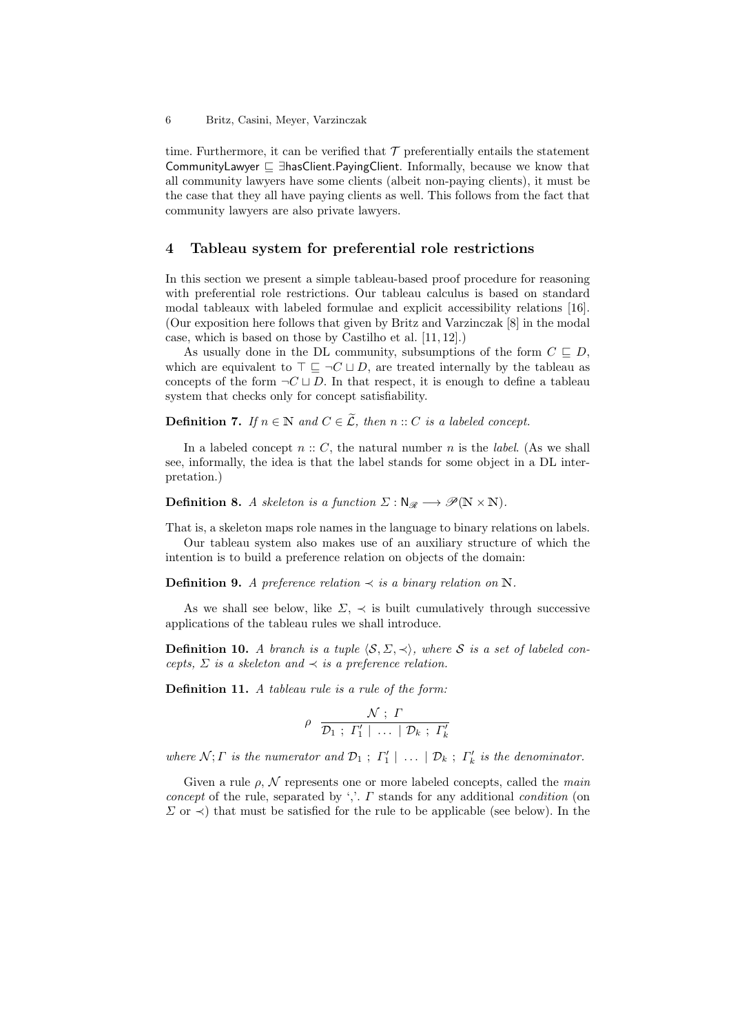time. Furthermore, it can be verified that  $\mathcal T$  preferentially entails the statement CommunityLawyer  $\subseteq$  ∃hasClient.PayingClient. Informally, because we know that all community lawyers have some clients (albeit non-paying clients), it must be the case that they all have paying clients as well. This follows from the fact that community lawyers are also private lawyers.

### 4 Tableau system for preferential role restrictions

In this section we present a simple tableau-based proof procedure for reasoning with preferential role restrictions. Our tableau calculus is based on standard modal tableaux with labeled formulae and explicit accessibility relations [16]. (Our exposition here follows that given by Britz and Varzinczak [8] in the modal case, which is based on those by Castilho et al. [11, 12].)

As usually done in the DL community, subsumptions of the form  $C \subseteq D$ , which are equivalent to  $\top \sqsubseteq \neg C \sqcup D$ , are treated internally by the tableau as concepts of the form  $\neg C \sqcup D$ . In that respect, it is enough to define a tableau system that checks only for concept satisfiability.

**Definition 7.** If  $n \in \mathbb{N}$  and  $C \in \widetilde{\mathcal{L}}$ , then  $n :: C$  is a labeled concept.

In a labeled concept  $n: C$ , the natural number n is the *label*. (As we shall see, informally, the idea is that the label stands for some object in a DL interpretation.)

**Definition 8.** A skeleton is a function  $\Sigma : \mathbb{N}_{\mathscr{R}} \longrightarrow \mathscr{P}(\mathbb{N} \times \mathbb{N}).$ 

That is, a skeleton maps role names in the language to binary relations on labels. Our tableau system also makes use of an auxiliary structure of which the intention is to build a preference relation on objects of the domain:

**Definition 9.** A preference relation  $\prec$  is a binary relation on N.

As we shall see below, like  $\Sigma$ ,  $\prec$  is built cumulatively through successive applications of the tableau rules we shall introduce.

**Definition 10.** A branch is a tuple  $\langle \mathcal{S}, \Sigma, \prec \rangle$ , where S is a set of labeled concepts,  $\Sigma$  is a skeleton and  $\prec$  is a preference relation.

Definition 11. A tableau rule is a rule of the form:

$$
\rho \frac{\mathcal{N} \, ; \, \Gamma}{\mathcal{D}_1 \, ; \, \Gamma'_1 \, \vert \, \ldots \, \vert \, \mathcal{D}_k \, ; \, \Gamma'_k}
$$

where  $\mathcal{N}; \Gamma$  is the numerator and  $\mathcal{D}_1; \Gamma'_1 \mid \ldots \mid \mathcal{D}_k; \Gamma'_k$  is the denominator.

Given a rule  $\rho$ , N represents one or more labeled concepts, called the main concept of the rule, separated by ','.  $\Gamma$  stands for any additional condition (on  $\Sigma$  or  $\prec$ ) that must be satisfied for the rule to be applicable (see below). In the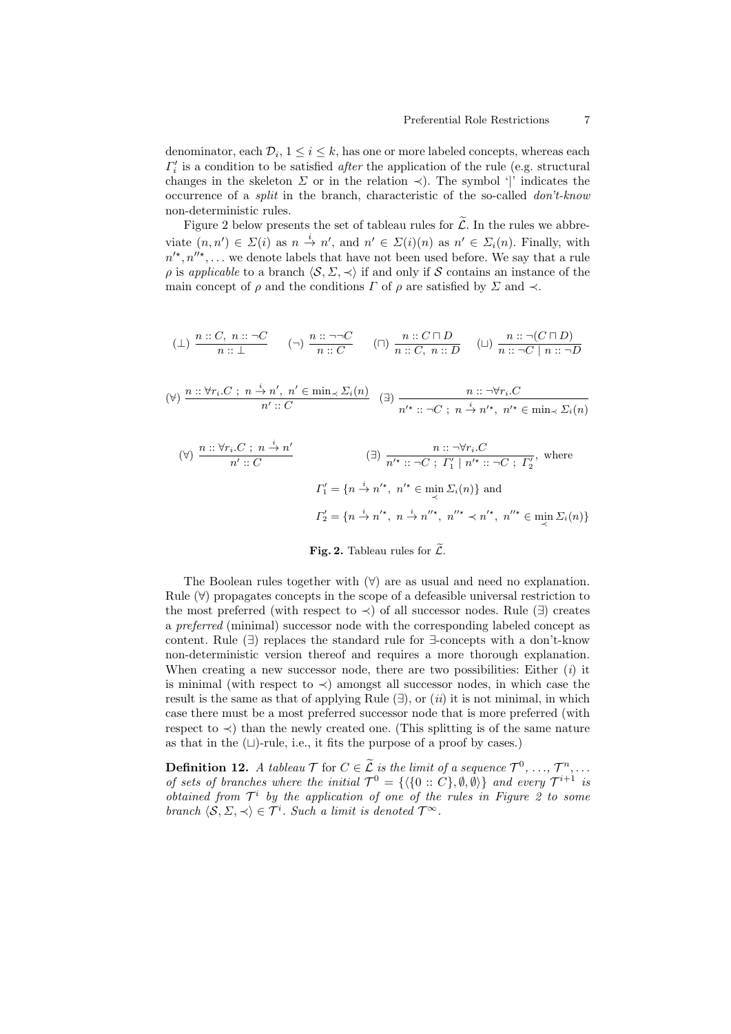denominator, each  $\mathcal{D}_i$ ,  $1 \leq i \leq k$ , has one or more labeled concepts, whereas each  $\Gamma_i'$  is a condition to be satisfied *after* the application of the rule (e.g. structural changes in the skeleton  $\Sigma$  or in the relation  $\prec$ ). The symbol '|' indicates the occurrence of a split in the branch, characteristic of the so-called don't-know non-deterministic rules.

Figure 2 below presents the set of tableau rules for  $\widetilde{\mathcal{L}}$ . In the rules we abbreviate  $(n, n') \in \Sigma(i)$  as  $n \stackrel{i}{\to} n'$ , and  $n' \in \Sigma(i)(n)$  as  $n' \in \Sigma_i(n)$ . Finally, with  $n'^{\star}, n''^{\star}, \ldots$  we denote labels that have not been used before. We say that a rule  $\rho$  is applicable to a branch  $\langle S, \Sigma, \prec \rangle$  if and only if S contains an instance of the main concept of  $\rho$  and the conditions  $\Gamma$  of  $\rho$  are satisfied by  $\Sigma$  and  $\prec$ .

$$
(\bot) \ \frac{n::C, \ n::\neg C}{n::\bot} \qquad (\neg) \ \frac{n::\neg\neg C}{n::C} \qquad (\sqcap) \ \frac{n::C\sqcap D}{n::C, \ n::D} \qquad (\bot) \ \frac{n::\neg(C\sqcap D)}{n::\neg C \mid n::\neg D}
$$

$$
(\forall) \ \frac{n:: \forall r_i.C \ ; \ n \stackrel{i}{\to} n', \ n' \in \min_{\prec} \Sigma_i(n)}{n':: C} \quad (\exists) \ \frac{n:: \neg \forall r_i.C}{n'^\star:: \neg C \ ; \ n \stackrel{i}{\to} n'^\star, \ n'^\star \in \min_{\prec} \Sigma_i(n)}
$$

$$
(\forall) \frac{n::\forall r_i.C \; ; \; n \stackrel{i}{\rightarrow} n'}{n':: C} \qquad (\exists) \frac{n::\neg \forall r_i.C}{n'^*::\neg C \; ; \; \Gamma'_1 \mid n'^*::\neg C \; ; \; \Gamma'_2}, \text{ where}
$$

$$
\Gamma'_1 = \{n \stackrel{i}{\rightarrow} n'^*, \; n'^* \in \min_{\prec} \Sigma_i(n)\} \text{ and}
$$

$$
\Gamma'_2 = \{n \stackrel{i}{\rightarrow} n'^*, \; n \stackrel{i}{\rightarrow} n''^*, \; n''^* \prec n'^*, \; n''^* \in \min_{\prec} \Sigma_i(n)\}
$$

# Fig. 2. Tableau rules for  $\tilde{\mathcal{L}}$ .

The Boolean rules together with  $(\forall)$  are as usual and need no explanation. Rule (∀) propagates concepts in the scope of a defeasible universal restriction to the most preferred (with respect to  $\prec$ ) of all successor nodes. Rule ( $\exists$ ) creates a preferred (minimal) successor node with the corresponding labeled concept as content. Rule (∃) replaces the standard rule for ∃-concepts with a don't-know non-deterministic version thereof and requires a more thorough explanation. When creating a new successor node, there are two possibilities: Either  $(i)$  it is minimal (with respect to  $\prec$ ) amongst all successor nodes, in which case the result is the same as that of applying Rule  $(\exists)$ , or  $(ii)$  it is not minimal, in which case there must be a most preferred successor node that is more preferred (with respect to  $\prec$ ) than the newly created one. (This splitting is of the same nature as that in the  $(L)$ -rule, i.e., it fits the purpose of a proof by cases.)

**Definition 12.** A tableau  $\mathcal{T}$  for  $C \in \widetilde{\mathcal{L}}$  is the limit of a sequence  $\mathcal{T}^0, \ldots, \mathcal{T}^n, \ldots$ of sets of branches where the initial  $\mathcal{T}^0 = \{ \langle 0 : C \rangle, \emptyset, \emptyset \rangle \}$  and every  $\mathcal{T}^{i+1}$  is obtained from  $\mathcal{T}^i$  by the application of one of the rules in Figure 2 to some branch  $\langle S, \Sigma, \prec \rangle \in \mathcal{T}^i$ . Such a limit is denoted  $\mathcal{T}^{\infty}$ .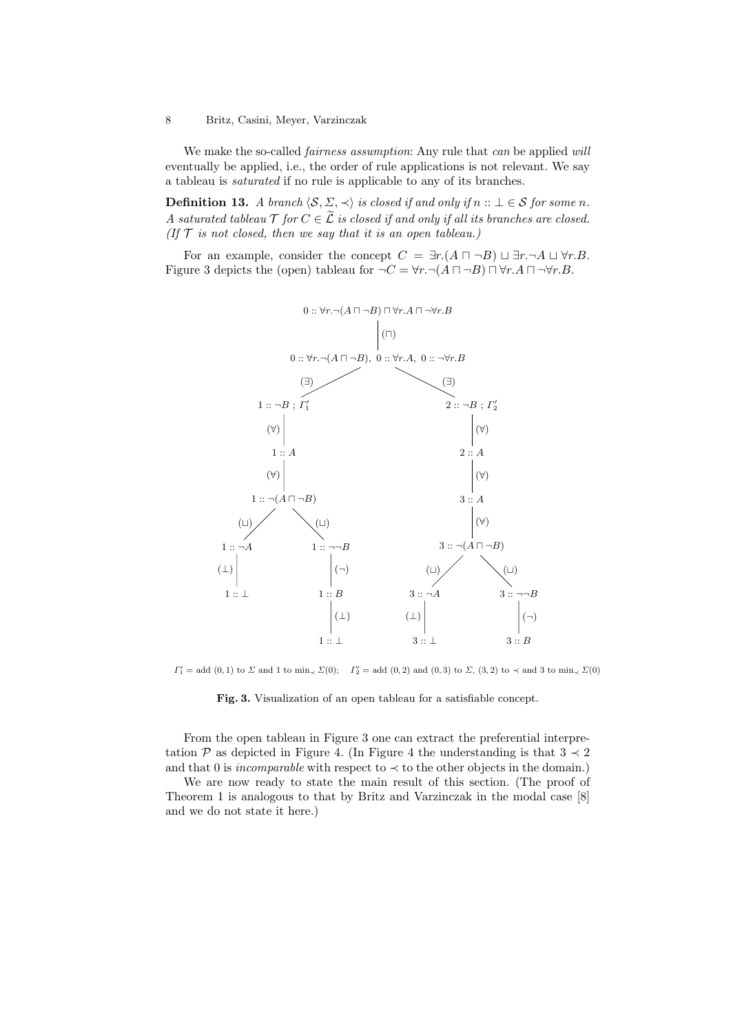We make the so-called *fairness assumption*: Any rule that *can* be applied will eventually be applied, i.e., the order of rule applications is not relevant. We say a tableau is saturated if no rule is applicable to any of its branches.

**Definition 13.** A branch  $\langle \mathcal{S}, \Sigma, \prec \rangle$  is closed if and only if  $n :: \bot \in \mathcal{S}$  for some n. A saturated tableau  $\mathcal T$  for  $C \in \widetilde{\mathcal L}$  is closed if and only if all its branches are closed. (If  $T$  is not closed, then we say that it is an open tableau.)

For an example, consider the concept  $C = \exists r.(A \sqcap \neg B) \sqcup \exists r.\neg A \sqcup \forall r.B.$ Figure 3 depicts the (open) tableau for  $\neg C = \forall r. \neg (A \sqcap \neg B) \sqcap \forall r. A \sqcap \neg \forall r. B$ .



 $\Gamma'_1 = \text{add}(0,1)$  to  $\Sigma$  and 1 to min<sub> $\leq \Sigma(0)$ </sub>;  $\Gamma'_2 = \text{add}(0,2)$  and  $(0,3)$  to  $\Sigma$ ,  $(3,2)$  to  $\prec$  and 3 to min $\prec \Sigma(0)$ 

Fig. 3. Visualization of an open tableau for a satisfiable concept.

From the open tableau in Figure 3 one can extract the preferential interpretation P as depicted in Figure 4. (In Figure 4 the understanding is that  $3 \prec 2$ and that 0 is *incomparable* with respect to  $\prec$  to the other objects in the domain.)

We are now ready to state the main result of this section. (The proof of Theorem 1 is analogous to that by Britz and Varzinczak in the modal case [8] and we do not state it here.)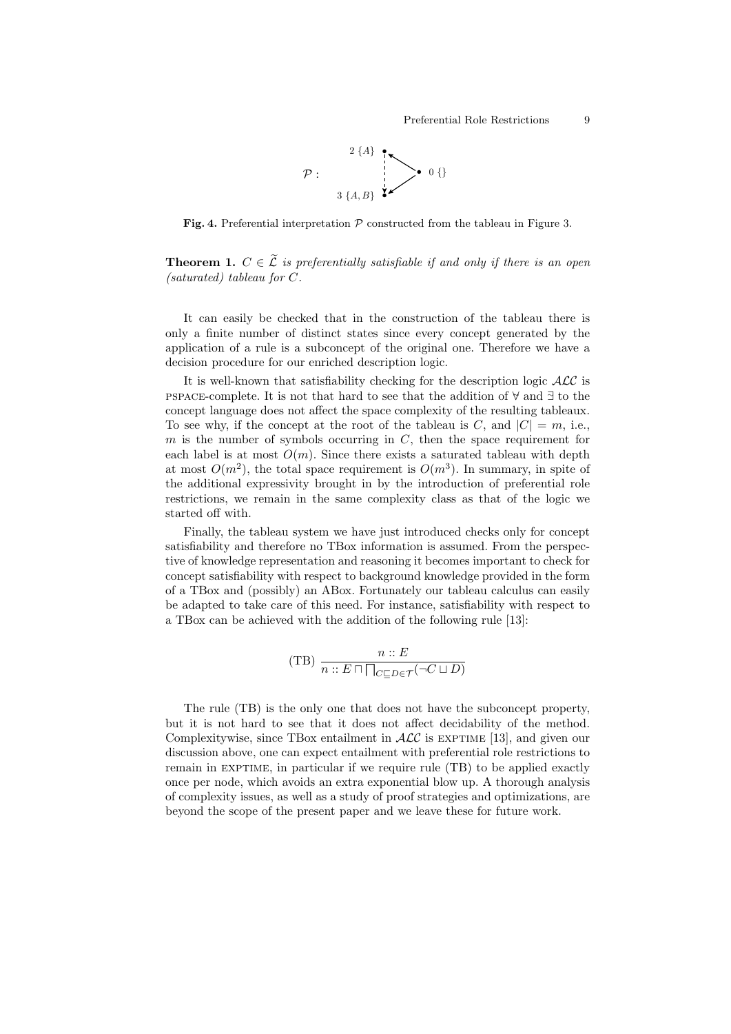

Fig. 4. Preferential interpretation  $P$  constructed from the tableau in Figure 3.

**Theorem 1.**  $C \in \tilde{\mathcal{L}}$  is preferentially satisfiable if and only if there is an open (saturated) tableau for C.

It can easily be checked that in the construction of the tableau there is only a finite number of distinct states since every concept generated by the application of a rule is a subconcept of the original one. Therefore we have a decision procedure for our enriched description logic.

It is well-known that satisfiability checking for the description logic  $\mathcal{ALC}$  is pspace-complete. It is not that hard to see that the addition of ∀ and ∃ to the concept language does not affect the space complexity of the resulting tableaux. To see why, if the concept at the root of the tableau is C, and  $|C| = m$ , i.e., m is the number of symbols occurring in  $C$ , then the space requirement for each label is at most  $O(m)$ . Since there exists a saturated tableau with depth at most  $O(m^2)$ , the total space requirement is  $O(m^3)$ . In summary, in spite of the additional expressivity brought in by the introduction of preferential role restrictions, we remain in the same complexity class as that of the logic we started off with.

Finally, the tableau system we have just introduced checks only for concept satisfiability and therefore no TBox information is assumed. From the perspective of knowledge representation and reasoning it becomes important to check for concept satisfiability with respect to background knowledge provided in the form of a TBox and (possibly) an ABox. Fortunately our tableau calculus can easily be adapted to take care of this need. For instance, satisfiability with respect to a TBox can be achieved with the addition of the following rule [13]:

(TB) 
$$
\frac{n::E}{n::E \cap \bigcap_{C \subseteq D \in \mathcal{T}} (\neg C \sqcup D)}
$$

The rule (TB) is the only one that does not have the subconcept property, but it is not hard to see that it does not affect decidability of the method. Complexitywise, since TBox entailment in  $\text{ALC}$  is EXPTIME [13], and given our discussion above, one can expect entailment with preferential role restrictions to remain in EXPTIME, in particular if we require rule (TB) to be applied exactly once per node, which avoids an extra exponential blow up. A thorough analysis of complexity issues, as well as a study of proof strategies and optimizations, are beyond the scope of the present paper and we leave these for future work.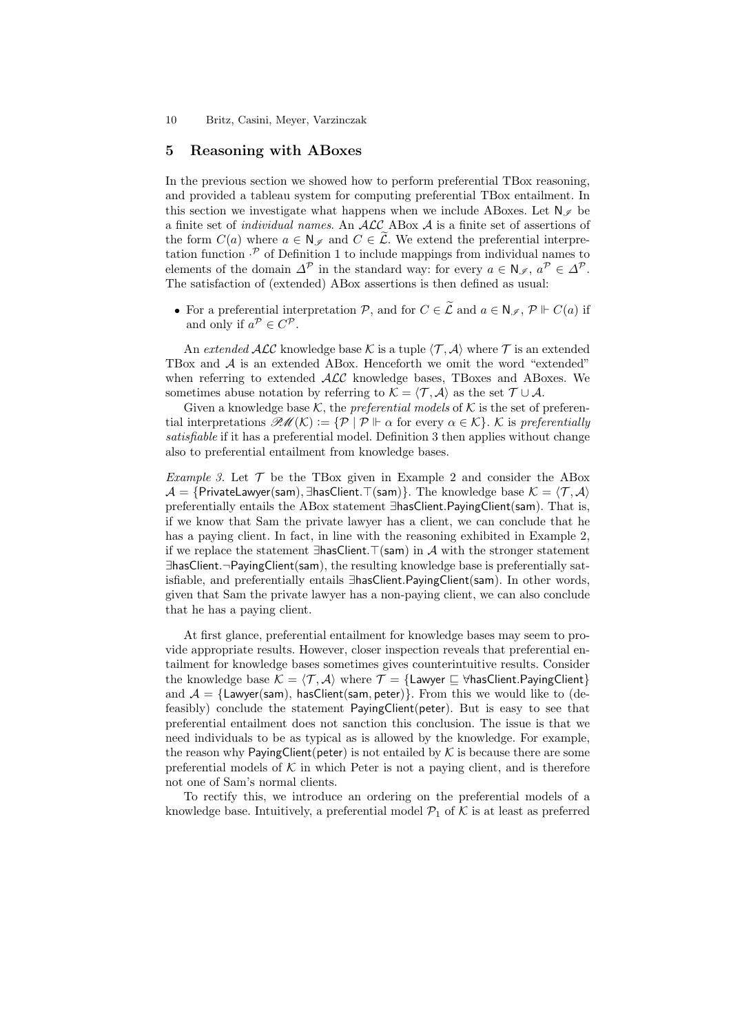### 5 Reasoning with ABoxes

In the previous section we showed how to perform preferential TBox reasoning, and provided a tableau system for computing preferential TBox entailment. In this section we investigate what happens when we include ABoxes. Let  $N \in \mathbb{N}$  be a finite set of individual names. An ALC ABox A is a finite set of assertions of the form  $C(a)$  where  $a \in \mathbb{N}_{\mathscr{I}}$  and  $C \in \widetilde{\mathcal{L}}$ . We extend the preferential interpretation function  $\cdot^{\mathcal{P}}$  of Definition 1 to include mappings from individual names to elements of the domain  $\Delta^{\mathcal{P}}$  in the standard way: for every  $a \in \mathbb{N}_{\mathscr{I}}$ ,  $a^{\mathcal{P}} \in \Delta^{\mathcal{P}}$ . The satisfaction of (extended) ABox assertions is then defined as usual:

• For a preferential interpretation P, and for  $C \in \widetilde{\mathcal{L}}$  and  $a \in \mathbb{N}_{\mathscr{I}}$ ,  $\mathcal{P} \Vdash C(a)$  if and only if  $a^{\mathcal{P}} \in C^{\mathcal{P}}$ .

An extended  $\mathcal{ALC}$  knowledge base K is a tuple  $\langle \mathcal{T}, \mathcal{A} \rangle$  where T is an extended TBox and A is an extended ABox. Henceforth we omit the word "extended" when referring to extended  $\text{ALC}$  knowledge bases, TBoxes and ABoxes. We sometimes abuse notation by referring to  $\mathcal{K} = \langle \mathcal{T}, \mathcal{A} \rangle$  as the set  $\mathcal{T} \cup \mathcal{A}$ .

Given a knowledge base K, the *preferential models* of K is the set of preferential interpretations  $\mathcal{PM}(\mathcal{K}) := \{ \mathcal{P} \mid \mathcal{P} \vdash \alpha \text{ for every } \alpha \in \mathcal{K} \}$ . K is preferentially satisfiable if it has a preferential model. Definition 3 then applies without change also to preferential entailment from knowledge bases.

*Example 3.* Let  $\mathcal{T}$  be the TBox given in Example 2 and consider the ABox  $\mathcal{A} = \{$ PrivateLawyer(sam),  $\exists$ hasClient. $\top$ (sam)}. The knowledge base  $\mathcal{K} = \langle \mathcal{T}, \mathcal{A} \rangle$ preferentially entails the ABox statement ∃hasClient.PayingClient(sam). That is, if we know that Sam the private lawyer has a client, we can conclude that he has a paying client. In fact, in line with the reasoning exhibited in Example 2, if we replace the statement  $\exists$ hasClient. $\top$ (sam) in A with the stronger statement ∃hasClient.¬PayingClient(sam), the resulting knowledge base is preferentially satisfiable, and preferentially entails ∃hasClient.PayingClient(sam). In other words, given that Sam the private lawyer has a non-paying client, we can also conclude that he has a paying client.

At first glance, preferential entailment for knowledge bases may seem to provide appropriate results. However, closer inspection reveals that preferential entailment for knowledge bases sometimes gives counterintuitive results. Consider the knowledge base  $\mathcal{K} = \langle \mathcal{T}, \mathcal{A} \rangle$  where  $\mathcal{T} = \{\text{Lawver } \sqsubset \forall \text{hasClient}.$ PayingClient} and  $A = \{\text{Lawyer}(\text{sam})\$ , has Client(sam, peter)}. From this we would like to (defeasibly) conclude the statement PayingClient(peter). But is easy to see that preferential entailment does not sanction this conclusion. The issue is that we need individuals to be as typical as is allowed by the knowledge. For example, the reason why PayingClient(peter) is not entailed by  $K$  is because there are some preferential models of  $K$  in which Peter is not a paying client, and is therefore not one of Sam's normal clients.

To rectify this, we introduce an ordering on the preferential models of a knowledge base. Intuitively, a preferential model  $\mathcal{P}_1$  of K is at least as preferred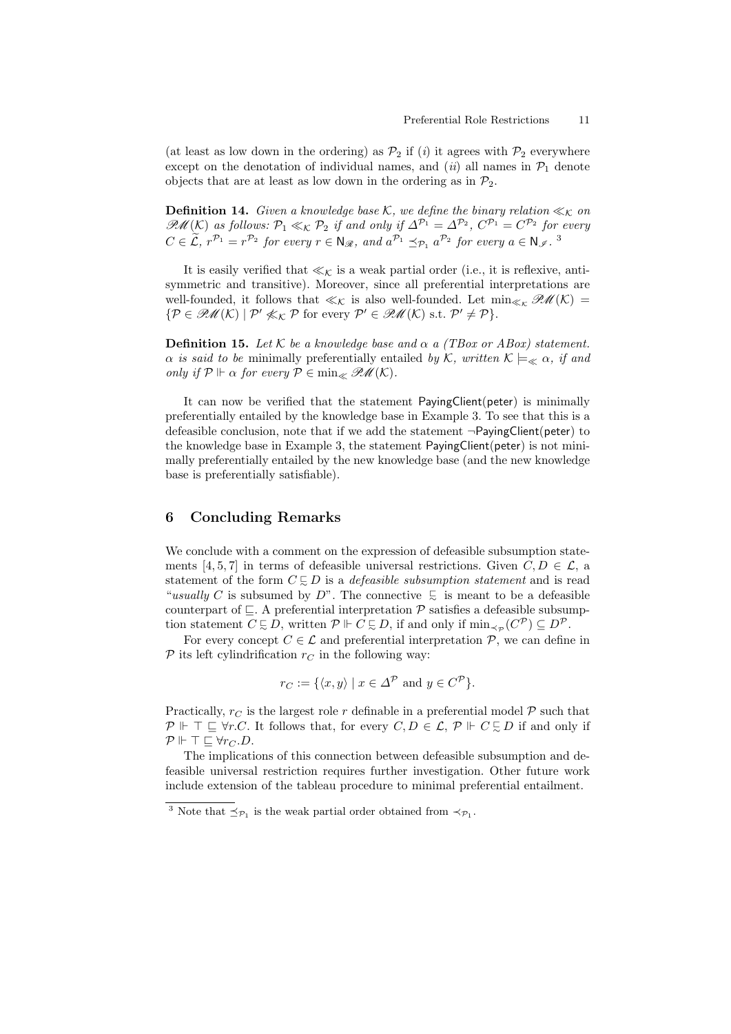(at least as low down in the ordering) as  $\mathcal{P}_2$  if (i) it agrees with  $\mathcal{P}_2$  everywhere except on the denotation of individual names, and  $(ii)$  all names in  $\mathcal{P}_1$  denote objects that are at least as low down in the ordering as in  $\mathcal{P}_2$ .

**Definition 14.** Given a knowledge base K, we define the binary relation  $\ll_K$  on  $\mathcal{PM}(K)$  as follows:  $\mathcal{P}_1 \ll_K \mathcal{P}_2$  if and only if  $\Delta^{\mathcal{P}_1} = \Delta^{\mathcal{P}_2}$ ,  $C^{\mathcal{P}_1} = C^{\mathcal{P}_2}$  for every  $C \in \tilde{\mathcal{L}}, r^{\mathcal{P}_1} = r^{\mathcal{P}_2}$  for every  $r \in \mathbb{N}_{\mathcal{R}},$  and  $a^{\mathcal{P}_1} \preceq_{\mathcal{P}_1} a^{\mathcal{P}_2}$  for every  $a \in \mathbb{N}_{\mathcal{I}}$ .

It is easily verified that  $\ll_{\mathcal{K}}$  is a weak partial order (i.e., it is reflexive, antisymmetric and transitive). Moreover, since all preferential interpretations are well-founded, it follows that  $\ll_{\mathcal{K}}$  is also well-founded. Let  $\min_{\ll_{\mathcal{K}} \mathscr{PML}}(\mathcal{K}) =$  $\{ \mathcal{P} \in \mathcal{PM}(\mathcal{K}) \mid \mathcal{P}' \nleq \mathcal{K} \mathcal{P} \text{ for every } \mathcal{P}' \in \mathcal{PM}(\mathcal{K}) \text{ s.t. } \mathcal{P}' \neq \mathcal{P} \}.$ 

**Definition 15.** Let K be a knowledge base and  $\alpha$  a (TBox or ABox) statement.  $\alpha$  is said to be minimally preferentially entailed by K, written  $\mathcal{K} \models_{\ll} \alpha$ , if and only if  $\mathcal{P} \Vdash \alpha$  for every  $\mathcal{P} \in \min_{\mathscr{C}} \mathscr{P}(\mathcal{M}(\mathcal{K}))$ .

It can now be verified that the statement PayingClient(peter) is minimally preferentially entailed by the knowledge base in Example 3. To see that this is a defeasible conclusion, note that if we add the statement  $\neg$ PayingClient(peter) to the knowledge base in Example 3, the statement PayingClient(peter) is not minimally preferentially entailed by the new knowledge base (and the new knowledge base is preferentially satisfiable).

# 6 Concluding Remarks

We conclude with a comment on the expression of defeasible subsumption statements [4, 5, 7] in terms of defeasible universal restrictions. Given  $C, D \in \mathcal{L}$ , a statement of the form  $C \subseteq D$  is a *defeasible subsumption statement* and is read "usually C is subsumed by  $D$ ". The connective  $\in$  is meant to be a defeasible counterpart of  $\subseteq$ . A preferential interpretation  $P$  satisfies a defeasible subsumption statement  $C \subsetneq D$ , written  $\mathcal{P} \Vdash C \subsetneq D$ , if and only if  $\min_{\prec_{\mathcal{P}}} (C^{\mathcal{P}}) \subseteq D^{\mathcal{P}}$ .

For every concept  $C \in \mathcal{L}$  and preferential interpretation  $\mathcal{P}$ , we can define in  $\mathcal P$  its left cylindrification  $r_C$  in the following way:

$$
r_C := \{ \langle x, y \rangle \mid x \in \Delta^{\mathcal{P}} \text{ and } y \in C^{\mathcal{P}} \}.
$$

Practically,  $r_C$  is the largest role r definable in a preferential model  $\mathcal P$  such that  $\mathcal{P} \Vdash \top \sqsubseteq \forall r.C.$  It follows that, for every  $C, D \in \mathcal{L}, \mathcal{P} \Vdash C \subsetneq D$  if and only if  $P \Vdash \top \sqsubseteq \forall r_C.D.$ 

The implications of this connection between defeasible subsumption and defeasible universal restriction requires further investigation. Other future work include extension of the tableau procedure to minimal preferential entailment.

<sup>&</sup>lt;sup>3</sup> Note that  $\preceq_{\mathcal{P}_1}$  is the weak partial order obtained from  $\prec_{\mathcal{P}_1}$ .